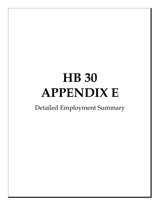## **HB 30 APPENDIX E**

Detailed Employment Summary